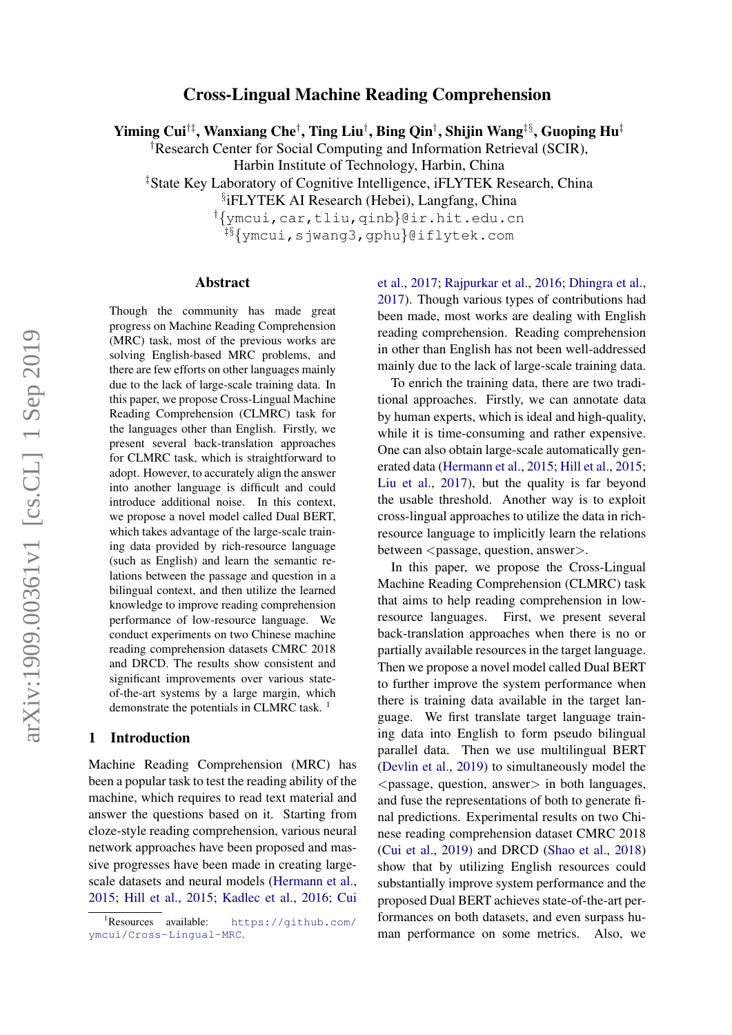# Cross-Lingual Machine Reading Comprehension

Yiming Cui $^{\dagger\ddagger}$ , Wanxiang Che $^{\dagger}$ , Ting Liu $^{\dagger}$ , Bing Qin $^{\dagger}$ , Shijin Wang $^{\ddagger\$,S}$ , Guoping Hu $^{\ddagger}$ 

†Research Center for Social Computing and Information Retrieval (SCIR),

Harbin Institute of Technology, Harbin, China

‡State Key Laboratory of Cognitive Intelligence, iFLYTEK Research, China

§ iFLYTEK AI Research (Hebei), Langfang, China

†{ymcui,car,tliu,qinb}@ir.hit.edu.cn

‡§{ymcui,sjwang3,gphu}@iflytek.com

#### Abstract

Though the community has made great progress on Machine Reading Comprehension (MRC) task, most of the previous works are solving English-based MRC problems, and there are few efforts on other languages mainly due to the lack of large-scale training data. In this paper, we propose Cross-Lingual Machine Reading Comprehension (CLMRC) task for the languages other than English. Firstly, we present several back-translation approaches for CLMRC task, which is straightforward to adopt. However, to accurately align the answer into another language is difficult and could introduce additional noise. In this context, we propose a novel model called Dual BERT, which takes advantage of the large-scale training data provided by rich-resource language (such as English) and learn the semantic relations between the passage and question in a bilingual context, and then utilize the learned knowledge to improve reading comprehension performance of low-resource language. We conduct experiments on two Chinese machine reading comprehension datasets CMRC 2018 and DRCD. The results show consistent and significant improvements over various stateof-the-art systems by a large margin, which demonstrate the potentials in CLMRC task.<sup>[1](#page-0-0)</sup>

#### 1 Introduction

Machine Reading Comprehension (MRC) has been a popular task to test the reading ability of the machine, which requires to read text material and answer the questions based on it. Starting from cloze-style reading comprehension, various neural network approaches have been proposed and massive progresses have been made in creating largescale datasets and neural models [\(Hermann et al.,](#page-8-0) [2015;](#page-8-0) [Hill et al.,](#page-8-1) [2015;](#page-8-1) [Kadlec et al.,](#page-8-2) [2016;](#page-8-2) [Cui](#page-8-3)

[et al.,](#page-8-3) [2017;](#page-8-3) [Rajpurkar et al.,](#page-9-0) [2016;](#page-9-0) [Dhingra et al.,](#page-8-4) [2017\)](#page-8-4). Though various types of contributions had been made, most works are dealing with English reading comprehension. Reading comprehension in other than English has not been well-addressed mainly due to the lack of large-scale training data.

To enrich the training data, there are two traditional approaches. Firstly, we can annotate data by human experts, which is ideal and high-quality, while it is time-consuming and rather expensive. One can also obtain large-scale automatically generated data [\(Hermann et al.,](#page-8-0) [2015;](#page-8-0) [Hill et al.,](#page-8-1) [2015;](#page-8-1) [Liu et al.,](#page-8-5) [2017\)](#page-8-5), but the quality is far beyond the usable threshold. Another way is to exploit cross-lingual approaches to utilize the data in richresource language to implicitly learn the relations between <passage, question, answer>.

In this paper, we propose the Cross-Lingual Machine Reading Comprehension (CLMRC) task that aims to help reading comprehension in lowresource languages. First, we present several back-translation approaches when there is no or partially available resources in the target language. Then we propose a novel model called Dual BERT to further improve the system performance when there is training data available in the target language. We first translate target language training data into English to form pseudo bilingual parallel data. Then we use multilingual BERT [\(Devlin et al.,](#page-8-6) [2019\)](#page-8-6) to simultaneously model the  $\langle$  passage, question, answer $>$  in both languages, and fuse the representations of both to generate final predictions. Experimental results on two Chinese reading comprehension dataset CMRC 2018 [\(Cui et al.,](#page-8-7) [2019\)](#page-8-7) and DRCD [\(Shao et al.,](#page-9-1) [2018\)](#page-9-1) show that by utilizing English resources could substantially improve system performance and the proposed Dual BERT achieves state-of-the-art performances on both datasets, and even surpass human performance on some metrics. Also, we

<span id="page-0-0"></span><sup>&</sup>lt;sup>1</sup>Resources available: [https://github.com/](#page-8-3) [ymcui/Cross-Lingual-MRC](#page-8-3).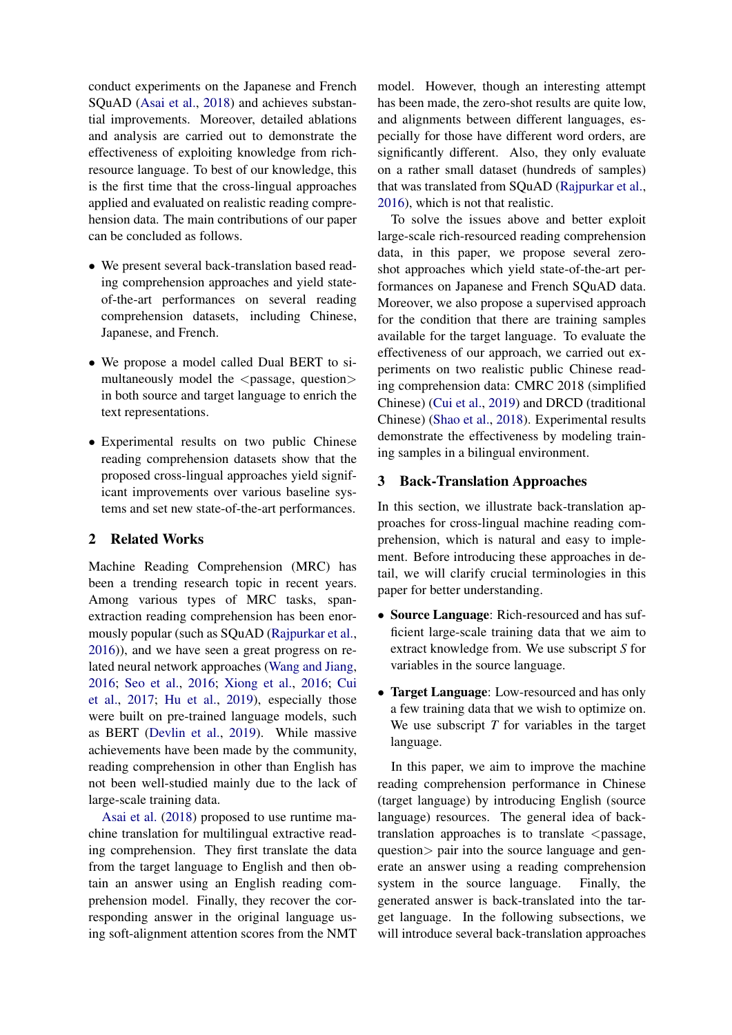conduct experiments on the Japanese and French SQuAD [\(Asai et al.,](#page-8-8) [2018\)](#page-8-8) and achieves substantial improvements. Moreover, detailed ablations and analysis are carried out to demonstrate the effectiveness of exploiting knowledge from richresource language. To best of our knowledge, this is the first time that the cross-lingual approaches applied and evaluated on realistic reading comprehension data. The main contributions of our paper can be concluded as follows.

- We present several back-translation based reading comprehension approaches and yield stateof-the-art performances on several reading comprehension datasets, including Chinese, Japanese, and French.
- We propose a model called Dual BERT to simultaneously model the  $\langle$  passage, question $\rangle$ in both source and target language to enrich the text representations.
- Experimental results on two public Chinese reading comprehension datasets show that the proposed cross-lingual approaches yield significant improvements over various baseline systems and set new state-of-the-art performances.

# 2 Related Works

Machine Reading Comprehension (MRC) has been a trending research topic in recent years. Among various types of MRC tasks, spanextraction reading comprehension has been enormously popular (such as SQuAD [\(Rajpurkar et al.,](#page-9-0) [2016\)](#page-9-0)), and we have seen a great progress on related neural network approaches [\(Wang and Jiang,](#page-9-2) [2016;](#page-9-2) [Seo et al.,](#page-9-3) [2016;](#page-9-3) [Xiong et al.,](#page-9-4) [2016;](#page-9-4) [Cui](#page-8-3) [et al.,](#page-8-3) [2017;](#page-8-3) [Hu et al.,](#page-8-9) [2019\)](#page-8-9), especially those were built on pre-trained language models, such as BERT [\(Devlin et al.,](#page-8-6) [2019\)](#page-8-6). While massive achievements have been made by the community, reading comprehension in other than English has not been well-studied mainly due to the lack of large-scale training data.

[Asai et al.](#page-8-8) [\(2018\)](#page-8-8) proposed to use runtime machine translation for multilingual extractive reading comprehension. They first translate the data from the target language to English and then obtain an answer using an English reading comprehension model. Finally, they recover the corresponding answer in the original language using soft-alignment attention scores from the NMT

model. However, though an interesting attempt has been made, the zero-shot results are quite low, and alignments between different languages, especially for those have different word orders, are significantly different. Also, they only evaluate on a rather small dataset (hundreds of samples) that was translated from SQuAD [\(Rajpurkar et al.,](#page-9-0) [2016\)](#page-9-0), which is not that realistic.

To solve the issues above and better exploit large-scale rich-resourced reading comprehension data, in this paper, we propose several zeroshot approaches which yield state-of-the-art performances on Japanese and French SQuAD data. Moreover, we also propose a supervised approach for the condition that there are training samples available for the target language. To evaluate the effectiveness of our approach, we carried out experiments on two realistic public Chinese reading comprehension data: CMRC 2018 (simplified Chinese) [\(Cui et al.,](#page-8-7) [2019\)](#page-8-7) and DRCD (traditional Chinese) [\(Shao et al.,](#page-9-1) [2018\)](#page-9-1). Experimental results demonstrate the effectiveness by modeling training samples in a bilingual environment.

## 3 Back-Translation Approaches

In this section, we illustrate back-translation approaches for cross-lingual machine reading comprehension, which is natural and easy to implement. Before introducing these approaches in detail, we will clarify crucial terminologies in this paper for better understanding.

- Source Language: Rich-resourced and has sufficient large-scale training data that we aim to extract knowledge from. We use subscript *S* for variables in the source language.
- Target Language: Low-resourced and has only a few training data that we wish to optimize on. We use subscript *T* for variables in the target language.

In this paper, we aim to improve the machine reading comprehension performance in Chinese (target language) by introducing English (source language) resources. The general idea of backtranslation approaches is to translate  $\leq$  passage, question> pair into the source language and generate an answer using a reading comprehension system in the source language. Finally, the generated answer is back-translated into the target language. In the following subsections, we will introduce several back-translation approaches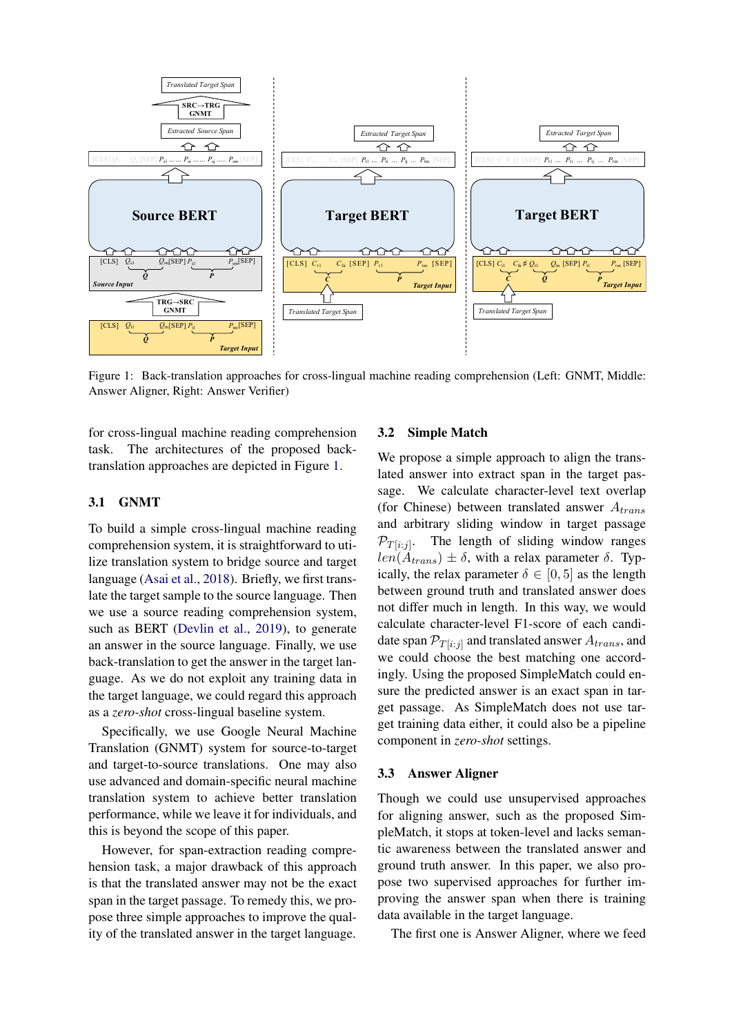<span id="page-2-0"></span>

Figure 1: Back-translation approaches for cross-lingual machine reading comprehension (Left: GNMT, Middle: Answer Aligner, Right: Answer Verifier)

for cross-lingual machine reading comprehension task. The architectures of the proposed backtranslation approaches are depicted in Figure [1.](#page-2-0)

#### 3.1 GNMT

To build a simple cross-lingual machine reading comprehension system, it is straightforward to utilize translation system to bridge source and target language [\(Asai et al.,](#page-8-8) [2018\)](#page-8-8). Briefly, we first translate the target sample to the source language. Then we use a source reading comprehension system, such as BERT [\(Devlin et al.,](#page-8-6) [2019\)](#page-8-6), to generate an answer in the source language. Finally, we use back-translation to get the answer in the target language. As we do not exploit any training data in the target language, we could regard this approach as a *zero-shot* cross-lingual baseline system.

Specifically, we use Google Neural Machine Translation (GNMT) system for source-to-target and target-to-source translations. One may also use advanced and domain-specific neural machine translation system to achieve better translation performance, while we leave it for individuals, and this is beyond the scope of this paper.

However, for span-extraction reading comprehension task, a major drawback of this approach is that the translated answer may not be the exact span in the target passage. To remedy this, we propose three simple approaches to improve the quality of the translated answer in the target language.

### 3.2 Simple Match

We propose a simple approach to align the translated answer into extract span in the target passage. We calculate character-level text overlap (for Chinese) between translated answer  $A_{trans}$ and arbitrary sliding window in target passage  $\mathcal{P}_{T[i:j]}$ . The length of sliding window ranges  $len(A<sub>trans</sub>) \pm \delta$ , with a relax parameter  $\delta$ . Typically, the relax parameter  $\delta \in [0, 5]$  as the length between ground truth and translated answer does not differ much in length. In this way, we would calculate character-level F1-score of each candidate span  $\mathcal{P}_{T[i:j]}$  and translated answer  $A_{trans}$ , and we could choose the best matching one accordingly. Using the proposed SimpleMatch could ensure the predicted answer is an exact span in target passage. As SimpleMatch does not use target training data either, it could also be a pipeline component in *zero-shot* settings.

#### 3.3 Answer Aligner

Though we could use unsupervised approaches for aligning answer, such as the proposed SimpleMatch, it stops at token-level and lacks semantic awareness between the translated answer and ground truth answer. In this paper, we also propose two supervised approaches for further improving the answer span when there is training data available in the target language.

The first one is Answer Aligner, where we feed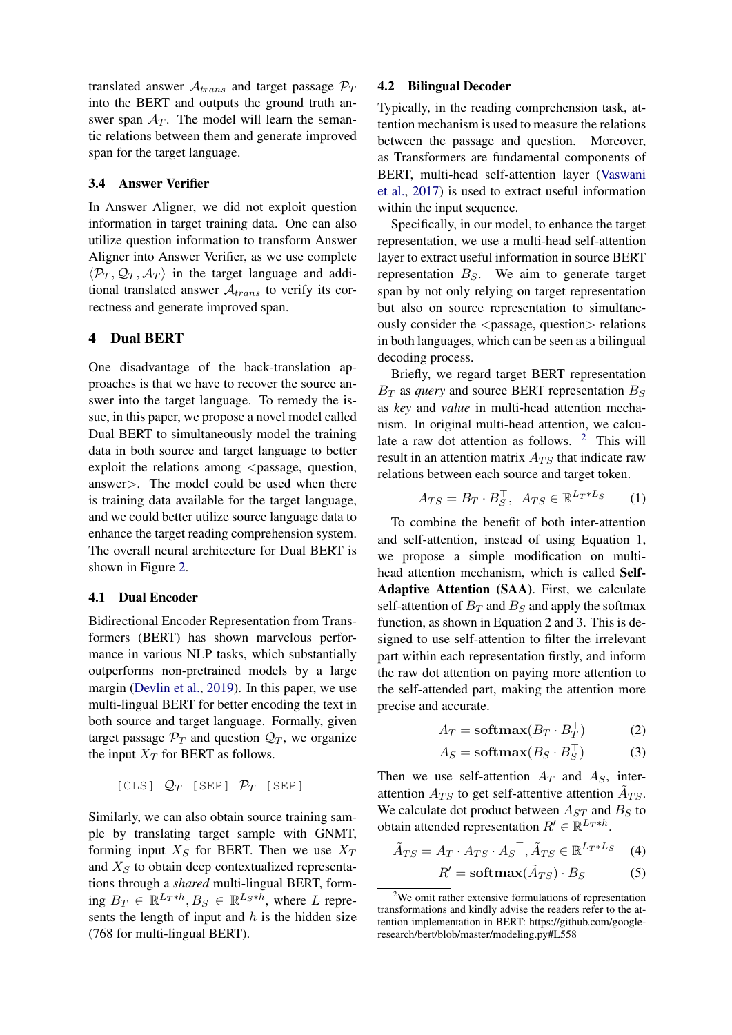translated answer  $A_{trans}$  and target passage  $\mathcal{P}_T$ into the BERT and outputs the ground truth answer span  $A_T$ . The model will learn the semantic relations between them and generate improved span for the target language.

# 3.4 Answer Verifier

In Answer Aligner, we did not exploit question information in target training data. One can also utilize question information to transform Answer Aligner into Answer Verifier, as we use complete  $\langle \mathcal{P}_T, \mathcal{Q}_T, \mathcal{A}_T \rangle$  in the target language and additional translated answer  $A_{trans}$  to verify its correctness and generate improved span.

#### 4 Dual BERT

One disadvantage of the back-translation approaches is that we have to recover the source answer into the target language. To remedy the issue, in this paper, we propose a novel model called Dual BERT to simultaneously model the training data in both source and target language to better exploit the relations among  $\leq$  passage, question, answer>. The model could be used when there is training data available for the target language, and we could better utilize source language data to enhance the target reading comprehension system. The overall neural architecture for Dual BERT is shown in Figure [2.](#page-4-0)

## 4.1 Dual Encoder

Bidirectional Encoder Representation from Transformers (BERT) has shown marvelous performance in various NLP tasks, which substantially outperforms non-pretrained models by a large margin [\(Devlin et al.,](#page-8-6) [2019\)](#page-8-6). In this paper, we use multi-lingual BERT for better encoding the text in both source and target language. Formally, given target passage  $\mathcal{P}_T$  and question  $\mathcal{Q}_T$ , we organize the input  $X_T$  for BERT as follows.

$$
[CLS] Q_T [SEP] P_T [SEP]
$$

Similarly, we can also obtain source training sample by translating target sample with GNMT, forming input  $X_S$  for BERT. Then we use  $X_T$ and  $X<sub>S</sub>$  to obtain deep contextualized representations through a *shared* multi-lingual BERT, forming  $B_T \in \mathbb{R}^{L_T*h}$ ,  $B_S \in \mathbb{R}^{L_S*h}$ , where L represents the length of input and  $h$  is the hidden size (768 for multi-lingual BERT).

#### 4.2 Bilingual Decoder

Typically, in the reading comprehension task, attention mechanism is used to measure the relations between the passage and question. Moreover, as Transformers are fundamental components of BERT, multi-head self-attention layer [\(Vaswani](#page-9-5) [et al.,](#page-9-5) [2017\)](#page-9-5) is used to extract useful information within the input sequence.

Specifically, in our model, to enhance the target representation, we use a multi-head self-attention layer to extract useful information in source BERT representation  $B<sub>S</sub>$ . We aim to generate target span by not only relying on target representation but also on source representation to simultaneously consider the  $\langle$  passage, question $>$  relations in both languages, which can be seen as a bilingual decoding process.

Briefly, we regard target BERT representation  $B_T$  as *query* and source BERT representation  $B_S$ as *key* and *value* in multi-head attention mechanism. In original multi-head attention, we calculate a raw dot attention as follows.  $2$  This will result in an attention matrix  $A_{TS}$  that indicate raw relations between each source and target token.

$$
A_{TS} = B_T \cdot B_S^{\top}, \ \ A_{TS} \in \mathbb{R}^{L_T * L_S} \tag{1}
$$

To combine the benefit of both inter-attention and self-attention, instead of using Equation 1, we propose a simple modification on multihead attention mechanism, which is called Self-Adaptive Attention (SAA). First, we calculate self-attention of  $B_T$  and  $B_S$  and apply the softmax function, as shown in Equation 2 and 3. This is designed to use self-attention to filter the irrelevant part within each representation firstly, and inform the raw dot attention on paying more attention to the self-attended part, making the attention more precise and accurate.

$$
A_T = \mathbf{softmax}(B_T \cdot B_T^\top) \tag{2}
$$

$$
A_S = \mathbf{softmax}(B_S \cdot B_S^\top) \tag{3}
$$

Then we use self-attention  $A_T$  and  $A_S$ , interattention  $A_{TS}$  to get self-attentive attention  $\tilde{A}_{TS}$ . We calculate dot product between  $A_{ST}$  and  $B_S$  to obtain attended representation  $R' \in \mathbb{R}^{L_T * h}$ .

$$
\tilde{A}_{TS} = A_T \cdot A_{TS} \cdot A_S^\top, \tilde{A}_{TS} \in \mathbb{R}^{L_T * L_S} \quad (4)
$$

$$
R' = \mathbf{softmax}(\tilde{A}_{TS}) \cdot B_S \tag{5}
$$

<span id="page-3-0"></span> $2$ We omit rather extensive formulations of representation transformations and kindly advise the readers refer to the attention implementation in BERT: https://github.com/googleresearch/bert/blob/master/modeling.py#L558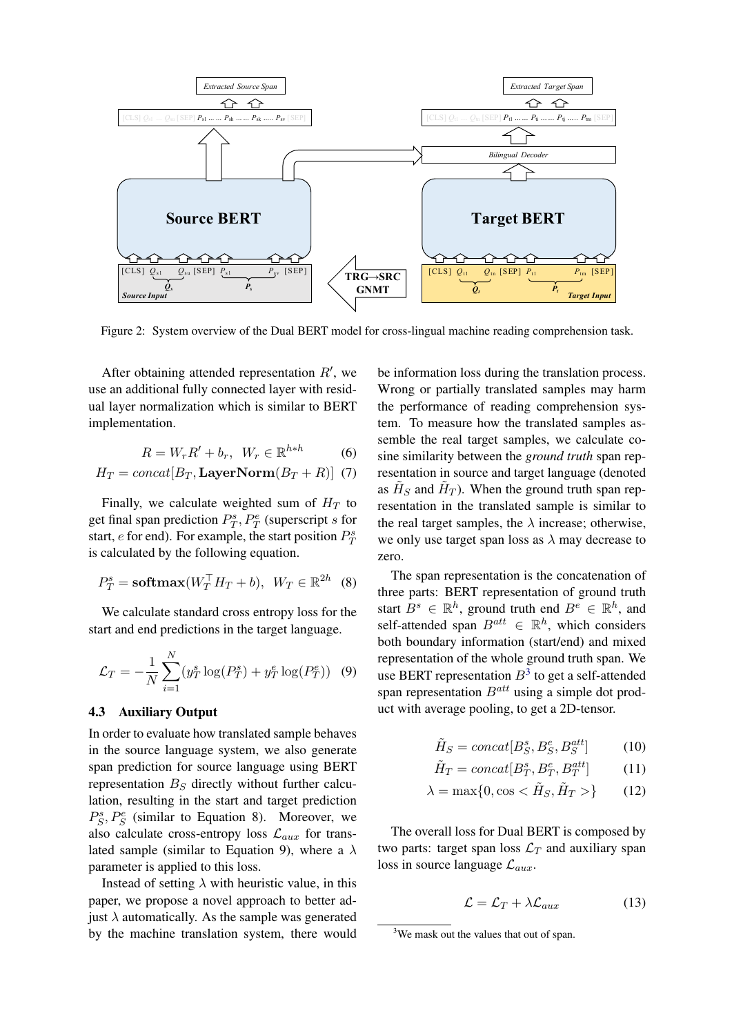<span id="page-4-0"></span>

Figure 2: System overview of the Dual BERT model for cross-lingual machine reading comprehension task.

After obtaining attended representation  $R'$ , we use an additional fully connected layer with residual layer normalization which is similar to BERT implementation.

$$
R = W_r R' + b_r, \ W_r \in \mathbb{R}^{h*h} \tag{6}
$$

$$
H_T = concat[B_T, \text{LayerNorm}(B_T + R)] \tag{7}
$$

Finally, we calculate weighted sum of  $H_T$  to get final span prediction  $P_T^s$ ,  $P_T^e$  (superscript s for start, *e* for end). For example, the start position  $P_T^s$ is calculated by the following equation.

$$
P_T^s = \mathbf{softmax}(W_T^\top H_T + b), \ W_T \in \mathbb{R}^{2h} \quad (8)
$$

We calculate standard cross entropy loss for the start and end predictions in the target language.

$$
\mathcal{L}_T = -\frac{1}{N} \sum_{i=1}^{N} (y_T^s \log(P_T^s) + y_T^e \log(P_T^e))
$$
 (9)

#### 4.3 Auxiliary Output

In order to evaluate how translated sample behaves in the source language system, we also generate span prediction for source language using BERT representation  $B<sub>S</sub>$  directly without further calculation, resulting in the start and target prediction  $P_S^s$ ,  $P_S^e$  (similar to Equation 8). Moreover, we also calculate cross-entropy loss  $\mathcal{L}_{aux}$  for translated sample (similar to Equation 9), where a  $\lambda$ parameter is applied to this loss.

Instead of setting  $\lambda$  with heuristic value, in this paper, we propose a novel approach to better adjust  $\lambda$  automatically. As the sample was generated by the machine translation system, there would

be information loss during the translation process. Wrong or partially translated samples may harm the performance of reading comprehension system. To measure how the translated samples assemble the real target samples, we calculate cosine similarity between the *ground truth* span representation in source and target language (denoted as  $\tilde{H}_S$  and  $\tilde{H}_T$ ). When the ground truth span representation in the translated sample is similar to the real target samples, the  $\lambda$  increase; otherwise, we only use target span loss as  $\lambda$  may decrease to zero.

The span representation is the concatenation of three parts: BERT representation of ground truth start  $B^s \in \mathbb{R}^h$ , ground truth end  $B^e \in \mathbb{R}^h$ , and self-attended span  $B^{att} \in \mathbb{R}^h$ , which considers both boundary information (start/end) and mixed representation of the whole ground truth span. We use BERT representation  $B^3$  $B^3$  to get a self-attended span representation  $B^{att}$  using a simple dot product with average pooling, to get a 2D-tensor.

$$
\tilde{H}_S = concat[B_S^s, B_S^e, B_S^{att}] \tag{10}
$$

$$
\tilde{H}_T = concat[B_T^s, B_T^e, B_T^{att}] \tag{11}
$$

$$
\lambda = \max\{0, \cos < \tilde{H}_S, \tilde{H}_T > \} \tag{12}
$$

The overall loss for Dual BERT is composed by two parts: target span loss  $\mathcal{L}_T$  and auxiliary span loss in source language  $\mathcal{L}_{aux}$ .

$$
\mathcal{L} = \mathcal{L}_T + \lambda \mathcal{L}_{aux} \tag{13}
$$

<span id="page-4-1"></span><sup>&</sup>lt;sup>3</sup>We mask out the values that out of span.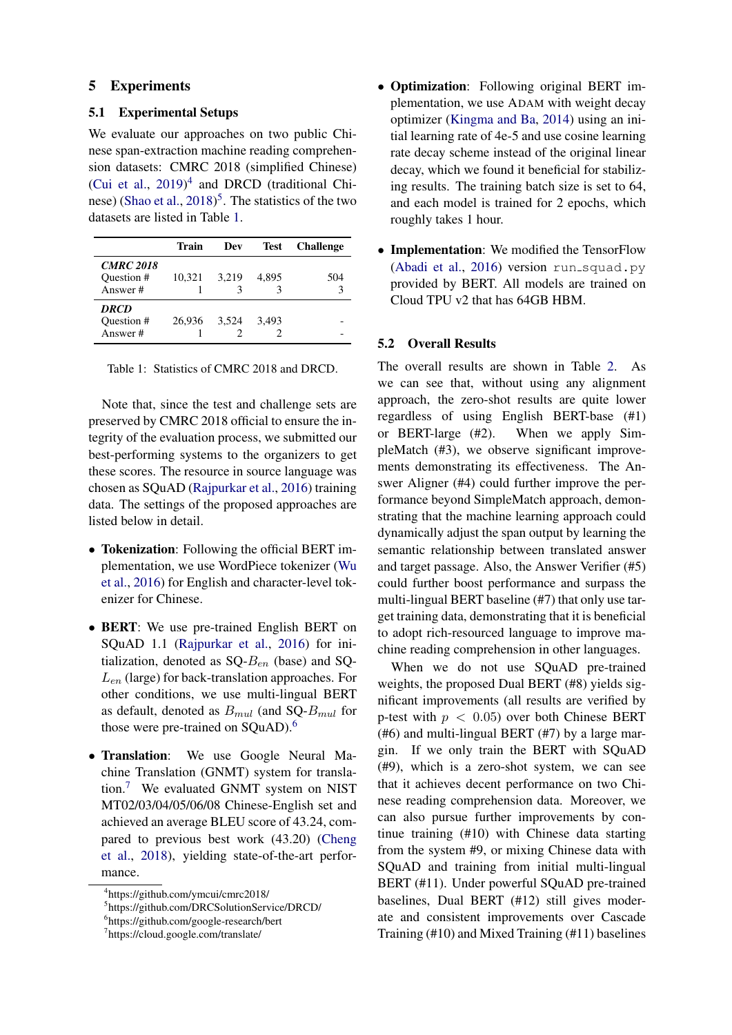### 5 Experiments

## 5.1 Experimental Setups

We evaluate our approaches on two public Chinese span-extraction machine reading comprehension datasets: CMRC 2018 (simplified Chinese) [\(Cui et al.,](#page-8-7)  $2019)^4$  $2019)^4$  $2019)^4$  and DRCD (traditional Chi-nese) [\(Shao et al.,](#page-9-1) [2018\)](#page-9-1)<sup>[5](#page-5-1)</sup>. The statistics of the two datasets are listed in Table [1.](#page-5-2)

<span id="page-5-2"></span>

|                                           | Train  | Dev   | <b>Test</b> | <b>Challenge</b> |
|-------------------------------------------|--------|-------|-------------|------------------|
| <b>CMRC 2018</b><br>Question #<br>Answer# | 10,321 | 3.219 | 4.895       | 504              |
| <b>DRCD</b><br>Question #<br>Answer#      | 26,936 | 3,524 | 3.493       |                  |

Table 1: Statistics of CMRC 2018 and DRCD.

Note that, since the test and challenge sets are preserved by CMRC 2018 official to ensure the integrity of the evaluation process, we submitted our best-performing systems to the organizers to get these scores. The resource in source language was chosen as SQuAD [\(Rajpurkar et al.,](#page-9-0) [2016\)](#page-9-0) training data. The settings of the proposed approaches are listed below in detail.

- Tokenization: Following the official BERT implementation, we use WordPiece tokenizer [\(Wu](#page-9-6) [et al.,](#page-9-6) [2016\)](#page-9-6) for English and character-level tokenizer for Chinese.
- BERT: We use pre-trained English BERT on SQuAD 1.1 [\(Rajpurkar et al.,](#page-9-0) [2016\)](#page-9-0) for initialization, denoted as  $SQ - B_{en}$  (base) and SQ- $L_{en}$  (large) for back-translation approaches. For other conditions, we use multi-lingual BERT as default, denoted as  $B_{mul}$  (and SQ- $B_{mul}$  for those were pre-trained on SQuAD).<sup>[6](#page-5-3)</sup>
- Translation: We use Google Neural Machine Translation (GNMT) system for translation.[7](#page-5-4) We evaluated GNMT system on NIST MT02/03/04/05/06/08 Chinese-English set and achieved an average BLEU score of 43.24, compared to previous best work (43.20) [\(Cheng](#page-8-10) [et al.,](#page-8-10) [2018\)](#page-8-10), yielding state-of-the-art performance.
- Optimization: Following original BERT implementation, we use ADAM with weight decay optimizer [\(Kingma and Ba,](#page-8-11) [2014\)](#page-8-11) using an initial learning rate of 4e-5 and use cosine learning rate decay scheme instead of the original linear decay, which we found it beneficial for stabilizing results. The training batch size is set to 64, and each model is trained for 2 epochs, which roughly takes 1 hour.
- Implementation: We modified the TensorFlow [\(Abadi et al.,](#page-8-12) [2016\)](#page-8-12) version run squad.py provided by BERT. All models are trained on Cloud TPU v2 that has 64GB HBM.

#### 5.2 Overall Results

The overall results are shown in Table [2.](#page-6-0) As we can see that, without using any alignment approach, the zero-shot results are quite lower regardless of using English BERT-base (#1) or BERT-large (#2). When we apply SimpleMatch (#3), we observe significant improvements demonstrating its effectiveness. The Answer Aligner (#4) could further improve the performance beyond SimpleMatch approach, demonstrating that the machine learning approach could dynamically adjust the span output by learning the semantic relationship between translated answer and target passage. Also, the Answer Verifier (#5) could further boost performance and surpass the multi-lingual BERT baseline (#7) that only use target training data, demonstrating that it is beneficial to adopt rich-resourced language to improve machine reading comprehension in other languages.

When we do not use SQuAD pre-trained weights, the proposed Dual BERT (#8) yields significant improvements (all results are verified by p-test with  $p < 0.05$ ) over both Chinese BERT (#6) and multi-lingual BERT (#7) by a large margin. If we only train the BERT with SQuAD (#9), which is a zero-shot system, we can see that it achieves decent performance on two Chinese reading comprehension data. Moreover, we can also pursue further improvements by continue training (#10) with Chinese data starting from the system #9, or mixing Chinese data with SQuAD and training from initial multi-lingual BERT (#11). Under powerful SQuAD pre-trained baselines, Dual BERT (#12) still gives moderate and consistent improvements over Cascade Training (#10) and Mixed Training (#11) baselines

<span id="page-5-0"></span><sup>4</sup> https://github.com/ymcui/cmrc2018/

<span id="page-5-1"></span><sup>5</sup> https://github.com/DRCSolutionService/DRCD/

<span id="page-5-3"></span><sup>6</sup> https://github.com/google-research/bert

<span id="page-5-4"></span><sup>7</sup> https://cloud.google.com/translate/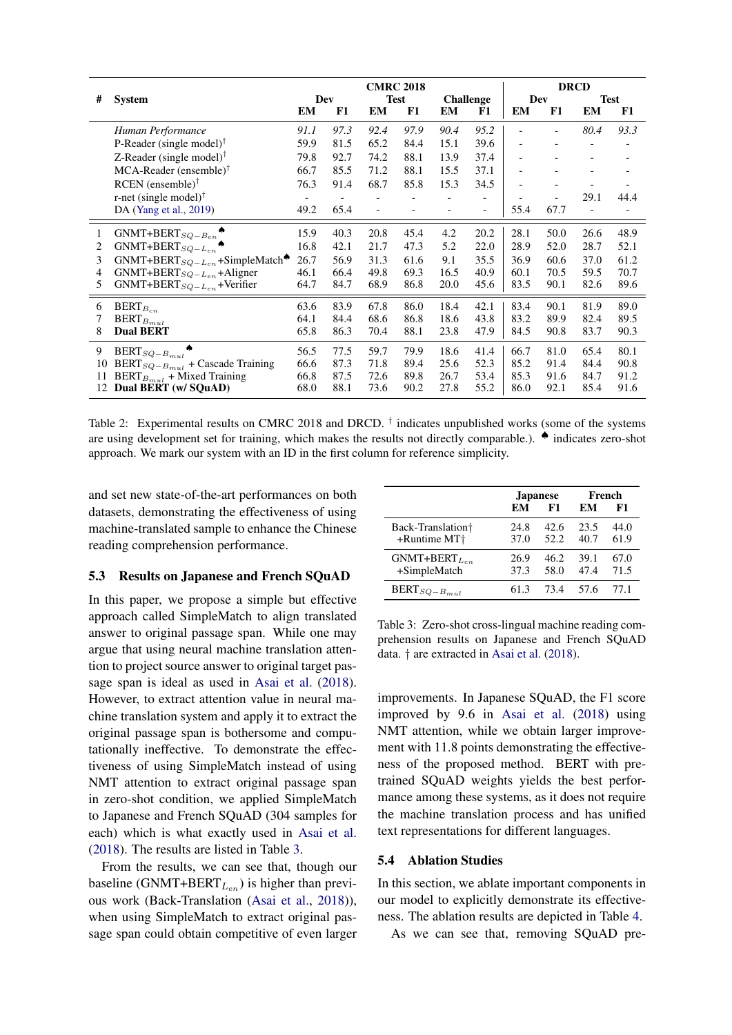<span id="page-6-0"></span>

|    |                                                         | <b>CMRC 2018</b> |      |      |             | <b>DRCD</b> |                  |      |      |                |             |
|----|---------------------------------------------------------|------------------|------|------|-------------|-------------|------------------|------|------|----------------|-------------|
| #  | <b>System</b>                                           |                  | Dev  |      | <b>Test</b> |             | <b>Challenge</b> |      | Dev  |                | <b>Test</b> |
|    |                                                         | EM               | F1   | EM   | F1          | EM          | F1               | EM   | F1   | EM             | F1          |
|    | Human Performance                                       | 91.1             | 97.3 | 92.4 | 97.9        | 90.4        | 95.2             |      |      | 80.4           | 93.3        |
|    | P-Reader (single model) <sup><math>\bar{ }</math></sup> | 59.9             | 81.5 | 65.2 | 84.4        | 15.1        | 39.6             |      |      |                |             |
|    | Z-Reader (single model) <sup>†</sup>                    | 79.8             | 92.7 | 74.2 | 88.1        | 13.9        | 37.4             |      |      | $\overline{a}$ |             |
|    | $MCA$ -Reader (ensemble) <sup>†</sup>                   | 66.7             | 85.5 | 71.2 | 88.1        | 15.5        | 37.1             |      |      |                |             |
|    | $RCEN$ (ensemble) <sup><math>\dagger</math></sup>       | 76.3             | 91.4 | 68.7 | 85.8        | 15.3        | 34.5             |      |      |                |             |
|    | r-net (single model) $\dagger$                          |                  |      |      |             |             |                  |      |      | 29.1           | 44.4        |
|    | DA (Yang et al., 2019)                                  | 49.2             | 65.4 |      |             |             |                  | 55.4 | 67.7 |                |             |
| 1  | $GNMT+BERT_{SQ-B_{en}}$                                 | 15.9             | 40.3 | 20.8 | 45.4        | 4.2         | 20.2             | 28.1 | 50.0 | 26.6           | 48.9        |
| 2  | $GNMT+BERT_{SQ-L_{en}}$                                 | 16.8             | 42.1 | 21.7 | 47.3        | 5.2         | 22.0             | 28.9 | 52.0 | 28.7           | 52.1        |
| 3  | $GNMT + BERT_{SQ-L_{en}} + SimpleMatch$                 | 26.7             | 56.9 | 31.3 | 61.6        | 9.1         | 35.5             | 36.9 | 60.6 | 37.0           | 61.2        |
| 4  | GNMT+BERT <sub>SQ-Len</sub> +Aligner                    | 46.1             | 66.4 | 49.8 | 69.3        | 16.5        | 40.9             | 60.1 | 70.5 | 59.5           | 70.7        |
| 5  | $GNMT + BERT_{SQ-L_{en}} + Verifyer$                    | 64.7             | 84.7 | 68.9 | 86.8        | 20.0        | 45.6             | 83.5 | 90.1 | 82.6           | 89.6        |
| 6  | $BERT_{B_{cn}}$                                         | 63.6             | 83.9 | 67.8 | 86.0        | 18.4        | 42.1             | 83.4 | 90.1 | 81.9           | 89.0        |
| 7  | $\text{BERT}_{B_{mul}}$                                 | 64.1             | 84.4 | 68.6 | 86.8        | 18.6        | 43.8             | 83.2 | 89.9 | 82.4           | 89.5        |
| 8  | <b>Dual BERT</b>                                        | 65.8             | 86.3 | 70.4 | 88.1        | 23.8        | 47.9             | 84.5 | 90.8 | 83.7           | 90.3        |
| 9  | $BERT_{SQ-B_{mul}}$                                     | 56.5             | 77.5 | 59.7 | 79.9        | 18.6        | 41.4             | 66.7 | 81.0 | 65.4           | 80.1        |
| 10 | BERT <sub>SQ-B<sub>mul</sub></sub> + Cascade Training   | 66.6             | 87.3 | 71.8 | 89.4        | 25.6        | 52.3             | 85.2 | 91.4 | 84.4           | 90.8        |
| 11 | $\text{BERT}_{B_{mul}}$ + Mixed Training                | 66.8             | 87.5 | 72.6 | 89.8        | 26.7        | 53.4             | 85.3 | 91.6 | 84.7           | 91.2        |
| 12 | Dual BERT (w/ SQuAD)                                    | 68.0             | 88.1 | 73.6 | 90.2        | 27.8        | 55.2             | 86.0 | 92.1 | 85.4           | 91.6        |

Table 2: Experimental results on CMRC 2018 and DRCD. <sup>†</sup> indicates unpublished works (some of the systems are using development set for training, which makes the results not directly comparable.). ♠ indicates zero-shot approach. We mark our system with an ID in the first column for reference simplicity.

and set new state-of-the-art performances on both datasets, demonstrating the effectiveness of using machine-translated sample to enhance the Chinese reading comprehension performance.

## 5.3 Results on Japanese and French SQuAD

In this paper, we propose a simple but effective approach called SimpleMatch to align translated answer to original passage span. While one may argue that using neural machine translation attention to project source answer to original target passage span is ideal as used in [Asai et al.](#page-8-8) [\(2018\)](#page-8-8). However, to extract attention value in neural machine translation system and apply it to extract the original passage span is bothersome and computationally ineffective. To demonstrate the effectiveness of using SimpleMatch instead of using NMT attention to extract original passage span in zero-shot condition, we applied SimpleMatch to Japanese and French SQuAD (304 samples for each) which is what exactly used in [Asai et al.](#page-8-8) [\(2018\)](#page-8-8). The results are listed in Table [3.](#page-6-1)

From the results, we can see that, though our baseline (GNMT+BERT $_{L_{en}}$ ) is higher than previous work (Back-Translation [\(Asai et al.,](#page-8-8) [2018\)](#page-8-8)), when using SimpleMatch to extract original passage span could obtain competitive of even larger

<span id="page-6-1"></span>

|                                                           |              | <b>Japanese</b> | French       |              |  |
|-----------------------------------------------------------|--------------|-----------------|--------------|--------------|--|
|                                                           | EМ           | F1              | EМ           | F1           |  |
| Back-Translation <sup>†</sup><br>+Runtime MT <sup>+</sup> | 24.8<br>37.0 | 42.6<br>52.2    | 23.5<br>40.7 | 44.0<br>61.9 |  |
| $GNMT+BERT_{L_{en}}$<br>+SimpleMatch                      | 26.9<br>37.3 | 46.2<br>58.0    | 39.1<br>47.4 | 67.0<br>71.5 |  |
| $BERT_{SQ-B_{mul}}$                                       | 61.3         | 73.4            | 57.6         | 77.1         |  |

Table 3: Zero-shot cross-lingual machine reading comprehension results on Japanese and French SQuAD data. † are extracted in [Asai et al.](#page-8-8) [\(2018\)](#page-8-8).

improvements. In Japanese SQuAD, the F1 score improved by 9.6 in [Asai et al.](#page-8-8) [\(2018\)](#page-8-8) using NMT attention, while we obtain larger improvement with 11.8 points demonstrating the effectiveness of the proposed method. BERT with pretrained SQuAD weights yields the best performance among these systems, as it does not require the machine translation process and has unified text representations for different languages.

## 5.4 Ablation Studies

In this section, we ablate important components in our model to explicitly demonstrate its effectiveness. The ablation results are depicted in Table [4.](#page-7-0)

As we can see that, removing SQuAD pre-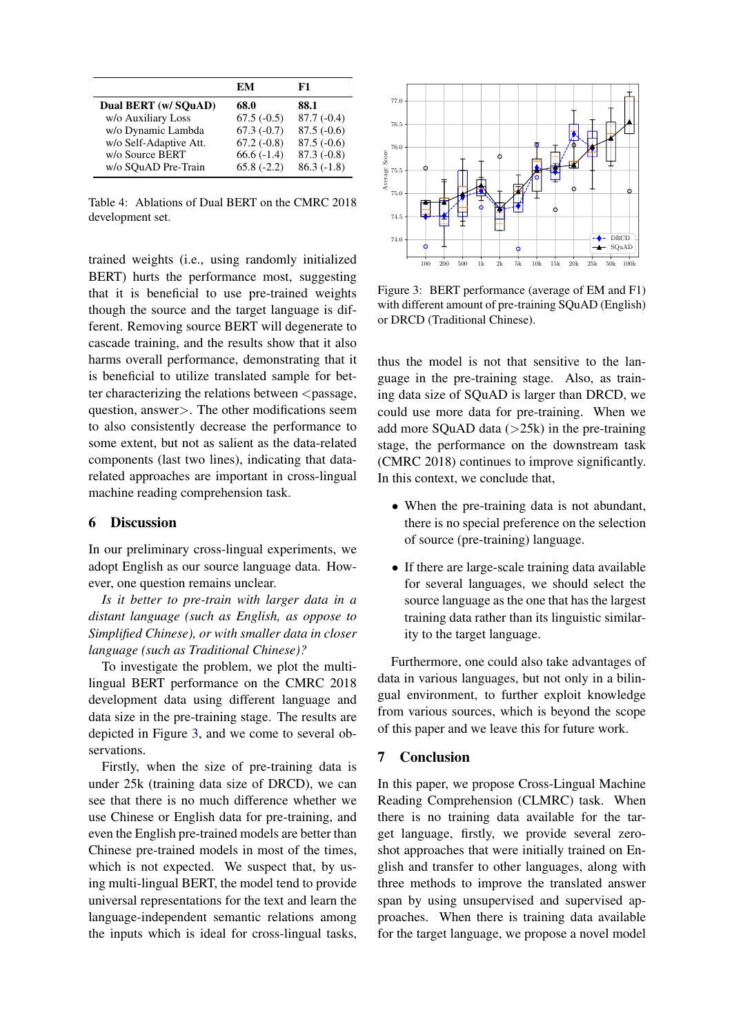<span id="page-7-0"></span>

|                        | EМ           | F1           |
|------------------------|--------------|--------------|
| Dual BERT (w/ SOuAD)   | 68.0         | 88.1         |
| w/o Auxiliary Loss     | $67.5(-0.5)$ | $87.7(-0.4)$ |
| w/o Dynamic Lambda     | $67.3(-0.7)$ | $87.5(-0.6)$ |
| w/o Self-Adaptive Att. | $67.2(-0.8)$ | $87.5(-0.6)$ |
| w/o Source BERT        | $66.6(-1.4)$ | $87.3(-0.8)$ |
| w/o SOuAD Pre-Train    | $65.8(-2.2)$ | $86.3(-1.8)$ |

Table 4: Ablations of Dual BERT on the CMRC 2018 development set.

trained weights (i.e., using randomly initialized BERT) hurts the performance most, suggesting that it is beneficial to use pre-trained weights though the source and the target language is different. Removing source BERT will degenerate to cascade training, and the results show that it also harms overall performance, demonstrating that it is beneficial to utilize translated sample for better characterizing the relations between  $\langle$  passage, question, answer>. The other modifications seem to also consistently decrease the performance to some extent, but not as salient as the data-related components (last two lines), indicating that datarelated approaches are important in cross-lingual machine reading comprehension task.

## 6 Discussion

In our preliminary cross-lingual experiments, we adopt English as our source language data. However, one question remains unclear.

*Is it better to pre-train with larger data in a distant language (such as English, as oppose to Simplified Chinese), or with smaller data in closer language (such as Traditional Chinese)?*

To investigate the problem, we plot the multilingual BERT performance on the CMRC 2018 development data using different language and data size in the pre-training stage. The results are depicted in Figure [3,](#page-7-1) and we come to several observations.

Firstly, when the size of pre-training data is under 25k (training data size of DRCD), we can see that there is no much difference whether we use Chinese or English data for pre-training, and even the English pre-trained models are better than Chinese pre-trained models in most of the times, which is not expected. We suspect that, by using multi-lingual BERT, the model tend to provide universal representations for the text and learn the language-independent semantic relations among the inputs which is ideal for cross-lingual tasks,

<span id="page-7-1"></span>

Figure 3: BERT performance (average of EM and F1) with different amount of pre-training SQuAD (English) or DRCD (Traditional Chinese).

thus the model is not that sensitive to the language in the pre-training stage. Also, as training data size of SQuAD is larger than DRCD, we could use more data for pre-training. When we add more SQuAD data  $(>25k)$  in the pre-training stage, the performance on the downstream task (CMRC 2018) continues to improve significantly. In this context, we conclude that,

- When the pre-training data is not abundant, there is no special preference on the selection of source (pre-training) language.
- If there are large-scale training data available for several languages, we should select the source language as the one that has the largest training data rather than its linguistic similarity to the target language.

Furthermore, one could also take advantages of data in various languages, but not only in a bilingual environment, to further exploit knowledge from various sources, which is beyond the scope of this paper and we leave this for future work.

# 7 Conclusion

In this paper, we propose Cross-Lingual Machine Reading Comprehension (CLMRC) task. When there is no training data available for the target language, firstly, we provide several zeroshot approaches that were initially trained on English and transfer to other languages, along with three methods to improve the translated answer span by using unsupervised and supervised approaches. When there is training data available for the target language, we propose a novel model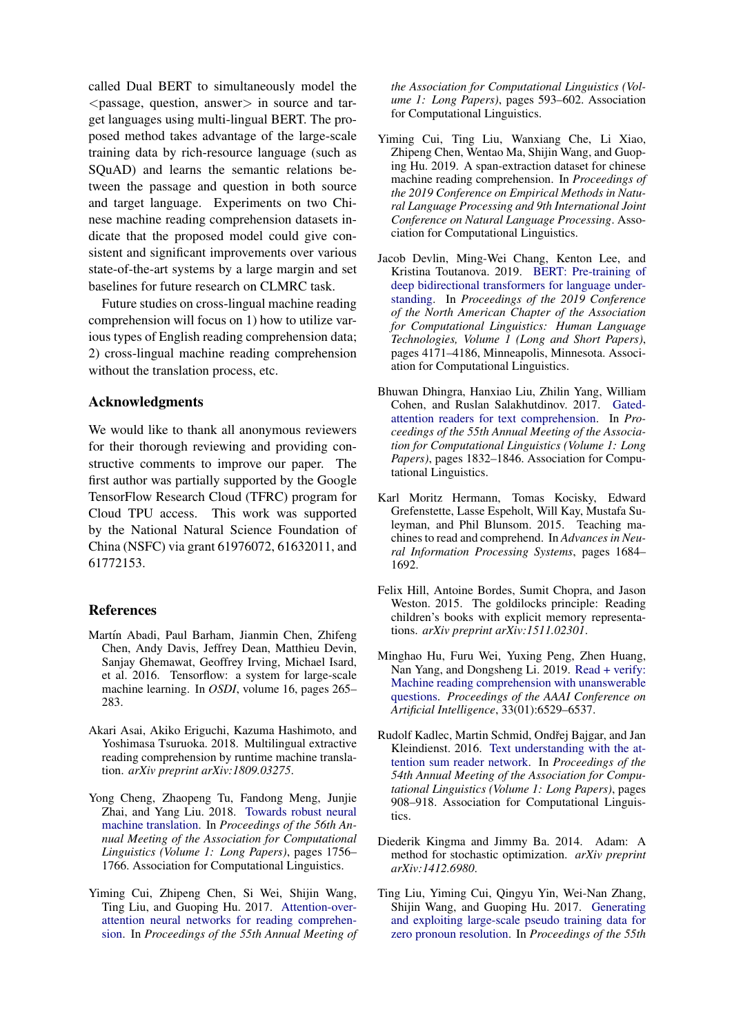called Dual BERT to simultaneously model the  $\zeta$  passage, question, answer in source and target languages using multi-lingual BERT. The proposed method takes advantage of the large-scale training data by rich-resource language (such as SQuAD) and learns the semantic relations between the passage and question in both source and target language. Experiments on two Chinese machine reading comprehension datasets indicate that the proposed model could give consistent and significant improvements over various state-of-the-art systems by a large margin and set baselines for future research on CLMRC task.

Future studies on cross-lingual machine reading comprehension will focus on 1) how to utilize various types of English reading comprehension data; 2) cross-lingual machine reading comprehension without the translation process, etc.

## Acknowledgments

We would like to thank all anonymous reviewers for their thorough reviewing and providing constructive comments to improve our paper. The first author was partially supported by the Google TensorFlow Research Cloud (TFRC) program for Cloud TPU access. This work was supported by the National Natural Science Foundation of China (NSFC) via grant 61976072, 61632011, and 61772153.

## References

- <span id="page-8-12"></span>Martín Abadi, Paul Barham, Jianmin Chen, Zhifeng Chen, Andy Davis, Jeffrey Dean, Matthieu Devin, Sanjay Ghemawat, Geoffrey Irving, Michael Isard, et al. 2016. Tensorflow: a system for large-scale machine learning. In *OSDI*, volume 16, pages 265– 283.
- <span id="page-8-8"></span>Akari Asai, Akiko Eriguchi, Kazuma Hashimoto, and Yoshimasa Tsuruoka. 2018. Multilingual extractive reading comprehension by runtime machine translation. *arXiv preprint arXiv:1809.03275*.
- <span id="page-8-10"></span>Yong Cheng, Zhaopeng Tu, Fandong Meng, Junjie Zhai, and Yang Liu. 2018. [Towards robust neural](http://aclweb.org/anthology/P18-1163) [machine translation.](http://aclweb.org/anthology/P18-1163) In *Proceedings of the 56th Annual Meeting of the Association for Computational Linguistics (Volume 1: Long Papers)*, pages 1756– 1766. Association for Computational Linguistics.
- <span id="page-8-3"></span>Yiming Cui, Zhipeng Chen, Si Wei, Shijin Wang, Ting Liu, and Guoping Hu. 2017. [Attention-over](https://doi.org/10.18653/v1/P17-1055)[attention neural networks for reading comprehen](https://doi.org/10.18653/v1/P17-1055)[sion.](https://doi.org/10.18653/v1/P17-1055) In *Proceedings of the 55th Annual Meeting of*

*the Association for Computational Linguistics (Volume 1: Long Papers)*, pages 593–602. Association for Computational Linguistics.

- <span id="page-8-7"></span>Yiming Cui, Ting Liu, Wanxiang Che, Li Xiao, Zhipeng Chen, Wentao Ma, Shijin Wang, and Guoping Hu. 2019. A span-extraction dataset for chinese machine reading comprehension. In *Proceedings of the 2019 Conference on Empirical Methods in Natural Language Processing and 9th International Joint Conference on Natural Language Processing*. Association for Computational Linguistics.
- <span id="page-8-6"></span>Jacob Devlin, Ming-Wei Chang, Kenton Lee, and Kristina Toutanova. 2019. [BERT: Pre-training of](https://doi.org/10.18653/v1/N19-1423) [deep bidirectional transformers for language under](https://doi.org/10.18653/v1/N19-1423)[standing.](https://doi.org/10.18653/v1/N19-1423) In *Proceedings of the 2019 Conference of the North American Chapter of the Association for Computational Linguistics: Human Language Technologies, Volume 1 (Long and Short Papers)*, pages 4171–4186, Minneapolis, Minnesota. Association for Computational Linguistics.
- <span id="page-8-4"></span>Bhuwan Dhingra, Hanxiao Liu, Zhilin Yang, William Cohen, and Ruslan Salakhutdinov. 2017. [Gated](https://doi.org/10.18653/v1/P17-1168)[attention readers for text comprehension.](https://doi.org/10.18653/v1/P17-1168) In *Proceedings of the 55th Annual Meeting of the Association for Computational Linguistics (Volume 1: Long Papers)*, pages 1832–1846. Association for Computational Linguistics.
- <span id="page-8-0"></span>Karl Moritz Hermann, Tomas Kocisky, Edward Grefenstette, Lasse Espeholt, Will Kay, Mustafa Suleyman, and Phil Blunsom. 2015. Teaching machines to read and comprehend. In *Advances in Neural Information Processing Systems*, pages 1684– 1692.
- <span id="page-8-1"></span>Felix Hill, Antoine Bordes, Sumit Chopra, and Jason Weston. 2015. The goldilocks principle: Reading children's books with explicit memory representations. *arXiv preprint arXiv:1511.02301*.
- <span id="page-8-9"></span>Minghao Hu, Furu Wei, Yuxing Peng, Zhen Huang, Nan Yang, and Dongsheng Li. 2019. [Read + verify:](https://doi.org/10.1609/aaai.v33i01.33016529) [Machine reading comprehension with unanswerable](https://doi.org/10.1609/aaai.v33i01.33016529) [questions.](https://doi.org/10.1609/aaai.v33i01.33016529) *Proceedings of the AAAI Conference on Artificial Intelligence*, 33(01):6529–6537.
- <span id="page-8-2"></span>Rudolf Kadlec, Martin Schmid, Ondřej Bajgar, and Jan Kleindienst. 2016. [Text understanding with the at](https://doi.org/10.18653/v1/P16-1086)[tention sum reader network.](https://doi.org/10.18653/v1/P16-1086) In *Proceedings of the 54th Annual Meeting of the Association for Computational Linguistics (Volume 1: Long Papers)*, pages 908–918. Association for Computational Linguistics.
- <span id="page-8-11"></span>Diederik Kingma and Jimmy Ba. 2014. Adam: A method for stochastic optimization. *arXiv preprint arXiv:1412.6980*.
- <span id="page-8-5"></span>Ting Liu, Yiming Cui, Qingyu Yin, Wei-Nan Zhang, Shijin Wang, and Guoping Hu. 2017. [Generating](https://doi.org/10.18653/v1/P17-1010) [and exploiting large-scale pseudo training data for](https://doi.org/10.18653/v1/P17-1010) [zero pronoun resolution.](https://doi.org/10.18653/v1/P17-1010) In *Proceedings of the 55th*